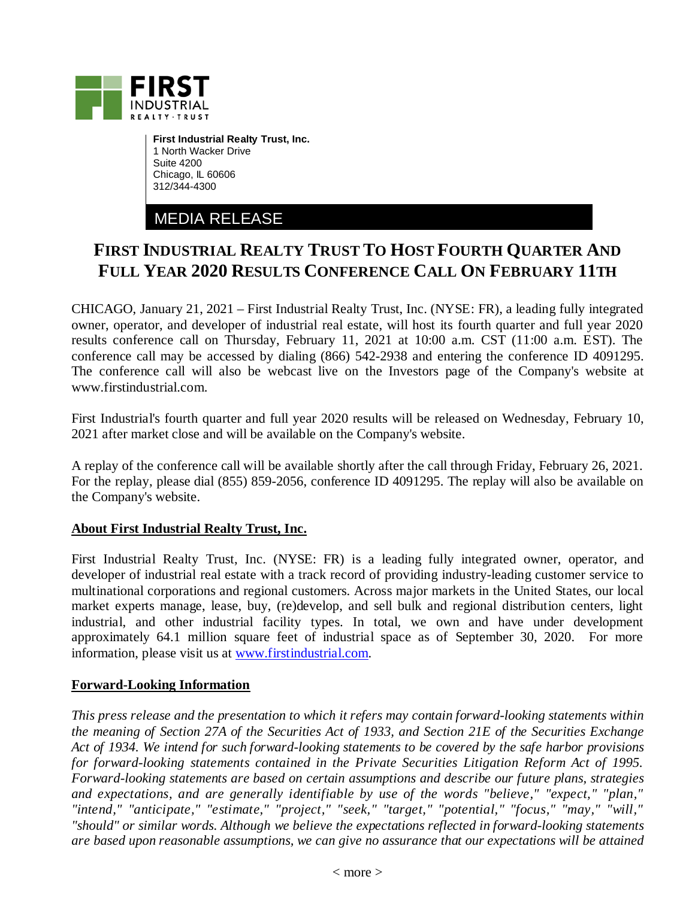

**First Industrial Realty Trust, Inc.** 1 North Wacker Drive Suite 4200 Chicago, IL 60606 312/344-4300

MEDIA RELEASE

## **FIRST INDUSTRIAL REALTY TRUST TO HOST FOURTH QUARTER AND FULL YEAR 2020 RESULTS CONFERENCE CALL ON FEBRUARY 11TH**

CHICAGO, January 21, 2021 – First Industrial Realty Trust, Inc. (NYSE: FR), a leading fully integrated owner, operator, and developer of industrial real estate, will host its fourth quarter and full year 2020 results conference call on Thursday, February 11, 2021 at 10:00 a.m. CST (11:00 a.m. EST). The conference call may be accessed by dialing (866) 542-2938 and entering the conference ID 4091295. The conference call will also be webcast live on the Investors page of the Company's website at www.firstindustrial.com.

First Industrial's fourth quarter and full year 2020 results will be released on Wednesday, February 10, 2021 after market close and will be available on the Company's website.

A replay of the conference call will be available shortly after the call through Friday, February 26, 2021. For the replay, please dial (855) 859-2056, conference ID 4091295. The replay will also be available on the Company's website.

## **About First Industrial Realty Trust, Inc.**

First Industrial Realty Trust, Inc. (NYSE: FR) is a leading fully integrated owner, operator, and developer of industrial real estate with a track record of providing industry-leading customer service to multinational corporations and regional customers. Across major markets in the United States, our local market experts manage, lease, buy, (re)develop, and sell bulk and regional distribution centers, light industrial, and other industrial facility types. In total, we own and have under development approximately 64.1 million square feet of industrial space as of September 30, 2020. For more information, please visit us at [www.firstindustrial.com.](http://www.firstindustrial.com/)

## **Forward-Looking Information**

*This press release and the presentation to which it refers may contain forward-looking statements within the meaning of Section 27A of the Securities Act of 1933, and Section 21E of the Securities Exchange Act of 1934. We intend for such forward-looking statements to be covered by the safe harbor provisions for forward-looking statements contained in the Private Securities Litigation Reform Act of 1995. Forward-looking statements are based on certain assumptions and describe our future plans, strategies and expectations, and are generally identifiable by use of the words "believe," "expect," "plan," "intend," "anticipate," "estimate," "project," "seek," "target," "potential," "focus," "may," "will," "should" or similar words. Although we believe the expectations reflected in forward-looking statements are based upon reasonable assumptions, we can give no assurance that our expectations will be attained*